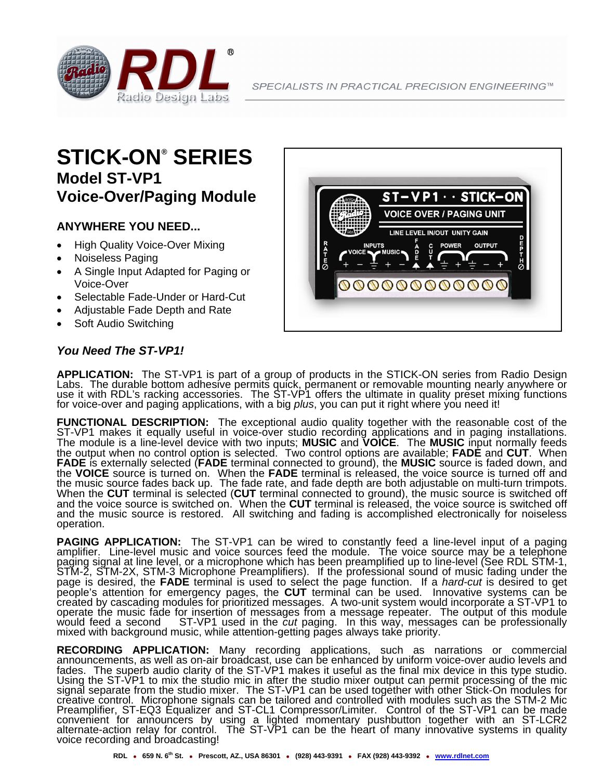

## **STICK-ON® SERIES Model ST-VP1 Voice-Over/Paging Module**

## **ANYWHERE YOU NEED...**

- High Quality Voice-Over Mixing
- Noiseless Paging
- A Single Input Adapted for Paging or Voice-Over
- Selectable Fade-Under or Hard-Cut
- Adjustable Fade Depth and Rate
- Soft Audio Switching

## *You Need The ST-VP1!*



APPLICATION: The ST-VP1 is part of a group of products in the STICK-ON series from Radio Design<br>Labs. The durable bottom adhesive permits quick, permanent or removable mounting nearly anywhere or<br>use it with RDL's racking for voice-over and paging applications, with a big *plus*, you can put it right where you need it!

**FUNCTIONAL DESCRIPTION:** The exceptional audio quality together with the reasonable cost of the ST-VP1 makes it equally useful in voice-over studio recording applications and in paging installations. The module is a line-level device with two inputs; **MUSIC** and **VOICE**. The **MUSIC** input normally feeds the output when no control option is selected. Two control options are available; **FADE** and **CUT**. When **FADE** is externally selected (**FADE** terminal connected to ground), the **MUSIC** source is faded down, and the **VOICE** source is turned on. When the **FADE** terminal is released, the voice source is turned off and the music source fades back up. The fade rate, and fade depth are both adjustable on multi-turn trimpots. When the **CUT** terminal is selected (**CUT** terminal connected to ground), the music source is switched off and the voice source is switched on. When the **CUT** terminal is released, the voice source is switched off and the music source is restored. All switching and fading is accomplished electronically for noiseless operation.

**PAGING APPLICATION:** The ST-VP1 can be wired to constantly feed a line-level input of a paging amplifier. Line-level music and voice sources feed the module. The voice source may be a telephone paging signal at line level, or a microphone which has been preamplified up to line-level (See RDL STM-1, STM-2, STM-2X, STM-3 Microphone Preamplifiers). If the professional sound of music fading under the page is desired, the FADE terminal is used to select the page function. If a *hard-cut* is desired to get<br>people's attention for emergency pages, the CUT terminal can be used. Innovative systems can be<br>created by cascading overate the music fade for insertion of messages from a message repeater. The output of this module<br>would feed a second ST-VP1 used in the *cut* paging. In this way, messages can be professionally<br>mixed with background mus

**RECORDING APPLICATION:** Many recording applications, such as narrations or commercial announcements, as well as on-air broadcast, use can be enhanced by uniform voice-over audio levels and fades. The superb audio clarity of the ST-VP1 makes it useful as the final mix device in this type studio. Using the ST-VP1 to mix the studio mic in after the studio mixer output can permit processing of the mic signal separate from the studio mixer. The ST-VP1 can be used together with other Stick-On modules for creative control. Microphone signals can be tailored and controlled with modules such as the STM-2 Mic Preamplifier, ST-EQ3 Equalizer and ST-CL1 Compressor/Limiter. Control of the ST-VP1 can be made convenient for announcers by using a lighted momentary pushbutton together with an ST-LCR2 alternate-action relay for control. The ST-VP1 can be the heart of many innovative systems in quality<br>voice recording and broadcasting!